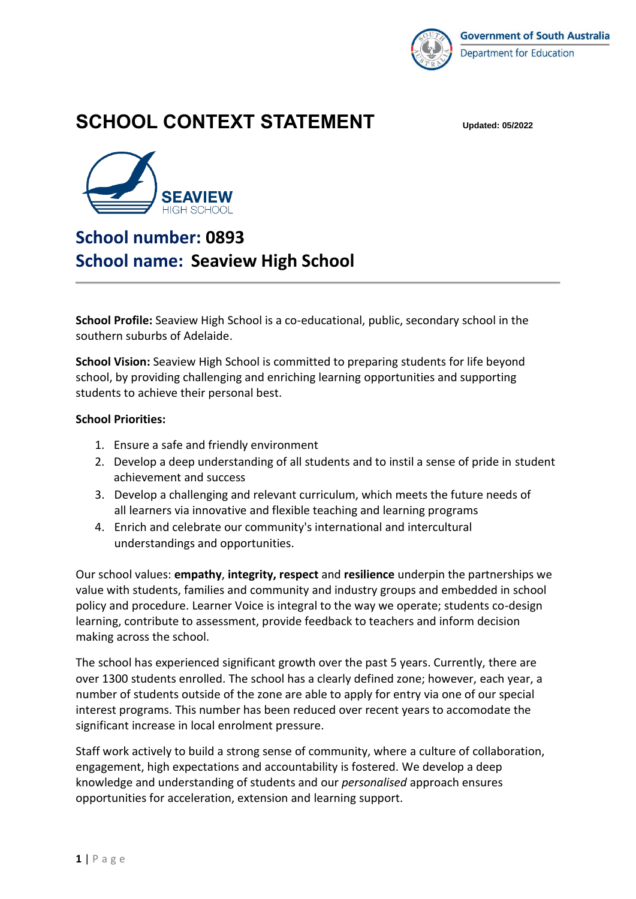

# **SCHOOL CONTEXT STATEMENT Updated: 05/2022**



# **School number: 0893 School name: Seaview High School**

**School Profile:** Seaview High School is a co-educational, public, secondary school in the southern suburbs of Adelaide.

**School Vision:** Seaview High School is committed to preparing students for life beyond school, by providing challenging and enriching learning opportunities and supporting students to achieve their personal best.

#### **School Priorities:**

- 1. Ensure a safe and friendly environment
- 2. Develop a deep understanding of all students and to instil a sense of pride in student achievement and success
- 3. Develop a challenging and relevant curriculum, which meets the future needs of all learners via innovative and flexible teaching and learning programs
- 4. Enrich and celebrate our community's international and intercultural understandings and opportunities.

Our school values: **empathy**, **integrity, respect** and **resilience** underpin the partnerships we value with students, families and community and industry groups and embedded in school policy and procedure. Learner Voice is integral to the way we operate; students co-design learning, contribute to assessment, provide feedback to teachers and inform decision making across the school.

The school has experienced significant growth over the past 5 years. Currently, there are over 1300 students enrolled. The school has a clearly defined zone; however, each year, a number of students outside of the zone are able to apply for entry via one of our special interest programs. This number has been reduced over recent years to accomodate the significant increase in local enrolment pressure.

Staff work actively to build a strong sense of community, where a culture of collaboration, engagement, high expectations and accountability is fostered. We develop a deep knowledge and understanding of students and our *personalised* approach ensures opportunities for acceleration, extension and learning support.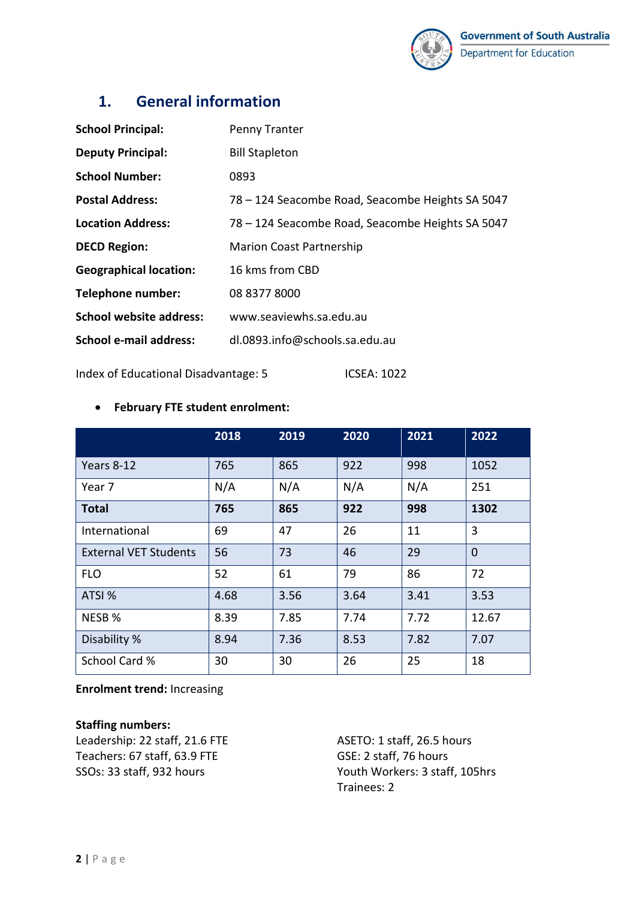

### **1. General information**

| <b>School Principal:</b>      | Penny Tranter                                    |
|-------------------------------|--------------------------------------------------|
| <b>Deputy Principal:</b>      | <b>Bill Stapleton</b>                            |
| <b>School Number:</b>         | 0893                                             |
| <b>Postal Address:</b>        | 78 – 124 Seacombe Road, Seacombe Heights SA 5047 |
| <b>Location Address:</b>      | 78 – 124 Seacombe Road, Seacombe Heights SA 5047 |
| <b>DECD Region:</b>           | <b>Marion Coast Partnership</b>                  |
| <b>Geographical location:</b> | 16 kms from CBD                                  |
| Telephone number:             | 08 8377 8000                                     |
| School website address:       | www.seaviewhs.sa.edu.au                          |
| School e-mail address:        | dl.0893.info@schools.sa.edu.au                   |

Index of Educational Disadvantage: 5 ICSEA: 1022

|                              | 2018 | 2019 | 2020 | 2021 | 2022           |
|------------------------------|------|------|------|------|----------------|
| Years 8-12                   | 765  | 865  | 922  | 998  | 1052           |
| Year 7                       | N/A  | N/A  | N/A  | N/A  | 251            |
| <b>Total</b>                 | 765  | 865  | 922  | 998  | 1302           |
| International                | 69   | 47   | 26   | 11   | 3              |
| <b>External VET Students</b> | 56   | 73   | 46   | 29   | $\overline{0}$ |
| <b>FLO</b>                   | 52   | 61   | 79   | 86   | 72             |
| ATSI %                       | 4.68 | 3.56 | 3.64 | 3.41 | 3.53           |
| NESB %                       | 8.39 | 7.85 | 7.74 | 7.72 | 12.67          |
| Disability %                 | 8.94 | 7.36 | 8.53 | 7.82 | 7.07           |
| School Card %                | 30   | 30   | 26   | 25   | 18             |

#### • **February FTE student enrolment:**

**Enrolment trend:** Increasing

### **Staffing numbers:**

Leadership: 22 staff, 21.6 FTE Teachers: 67 staff, 63.9 FTE SSOs: 33 staff, 932 hours

ASETO: 1 staff, 26.5 hours GSE: 2 staff, 76 hours Youth Workers: 3 staff, 105hrs Trainees: 2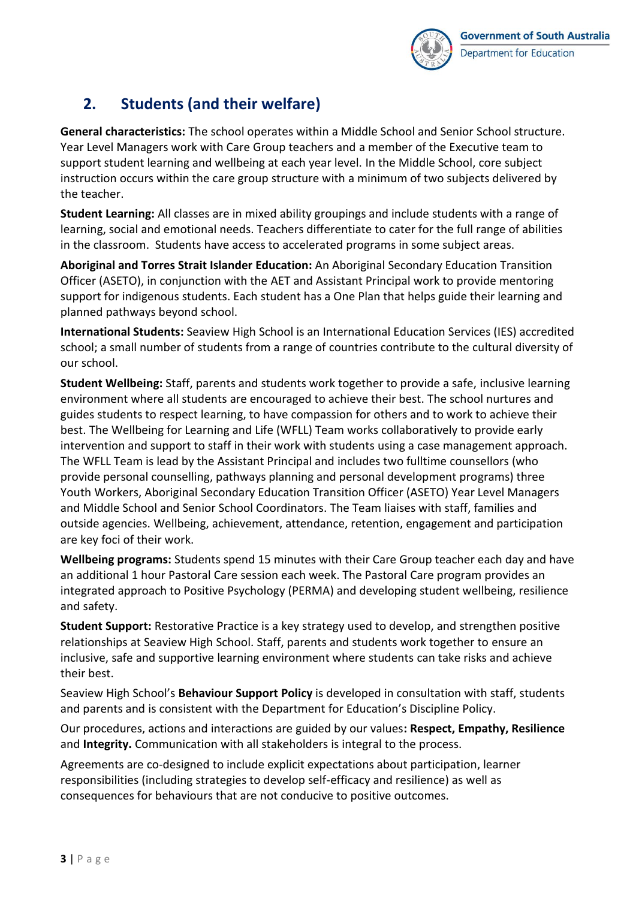

### **2. Students (and their welfare)**

**General characteristics:** The school operates within a Middle School and Senior School structure. Year Level Managers work with Care Group teachers and a member of the Executive team to support student learning and wellbeing at each year level. In the Middle School, core subject instruction occurs within the care group structure with a minimum of two subjects delivered by the teacher.

**Student Learning:** All classes are in mixed ability groupings and include students with a range of learning, social and emotional needs. Teachers differentiate to cater for the full range of abilities in the classroom. Students have access to accelerated programs in some subject areas.

**Aboriginal and Torres Strait Islander Education:** An Aboriginal Secondary Education Transition Officer (ASETO), in conjunction with the AET and Assistant Principal work to provide mentoring support for indigenous students. Each student has a One Plan that helps guide their learning and planned pathways beyond school.

**International Students:** Seaview High School is an International Education Services (IES) accredited school; a small number of students from a range of countries contribute to the cultural diversity of our school.

**Student Wellbeing:** Staff, parents and students work together to provide a safe, inclusive learning environment where all students are encouraged to achieve their best. The school nurtures and guides students to respect learning, to have compassion for others and to work to achieve their best. The Wellbeing for Learning and Life (WFLL) Team works collaboratively to provide early intervention and support to staff in their work with students using a case management approach. The WFLL Team is lead by the Assistant Principal and includes two fulltime counsellors (who provide personal counselling, pathways planning and personal development programs) three Youth Workers, Aboriginal Secondary Education Transition Officer (ASETO) Year Level Managers and Middle School and Senior School Coordinators. The Team liaises with staff, families and outside agencies. Wellbeing, achievement, attendance, retention, engagement and participation are key foci of their work.

**Wellbeing programs:** Students spend 15 minutes with their Care Group teacher each day and have an additional 1 hour Pastoral Care session each week. The Pastoral Care program provides an integrated approach to Positive Psychology (PERMA) and developing student wellbeing, resilience and safety.

**Student Support:** Restorative Practice is a key strategy used to develop, and strengthen positive relationships at Seaview High School. Staff, parents and students work together to ensure an inclusive, safe and supportive learning environment where students can take risks and achieve their best.

Seaview High School's **Behaviour Support Policy** is developed in consultation with staff, students and parents and is consistent with the Department for Education's Discipline Policy.

Our procedures, actions and interactions are guided by our values**: Respect, Empathy, Resilience**  and **Integrity.** Communication with all stakeholders is integral to the process.

Agreements are co-designed to include explicit expectations about participation, learner responsibilities (including strategies to develop self-efficacy and resilience) as well as consequences for behaviours that are not conducive to positive outcomes.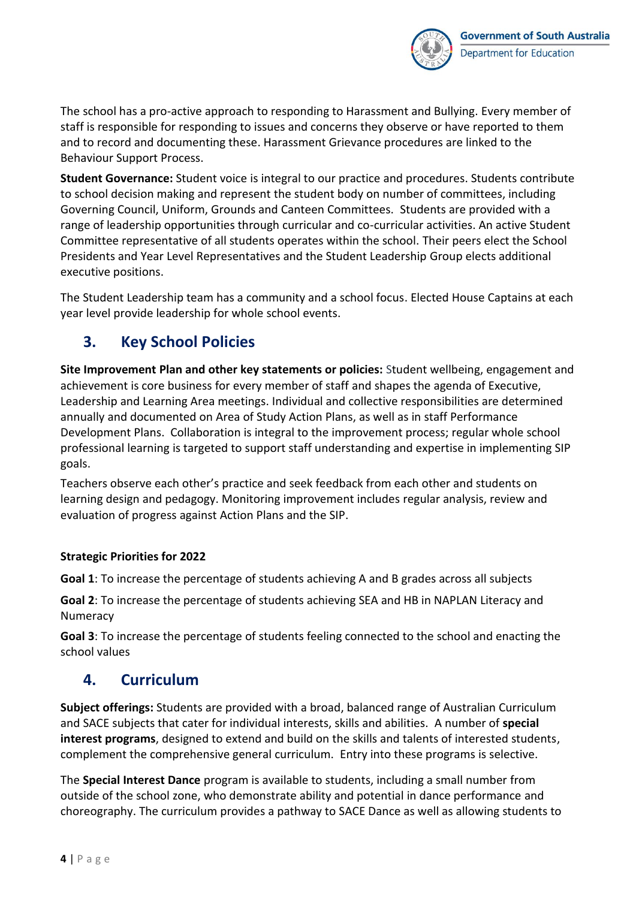

The school has a pro-active approach to responding to Harassment and Bullying. Every member of staff is responsible for responding to issues and concerns they observe or have reported to them and to record and documenting these. Harassment Grievance procedures are linked to the Behaviour Support Process.

**Student Governance:** Student voice is integral to our practice and procedures. Students contribute to school decision making and represent the student body on number of committees, including Governing Council, Uniform, Grounds and Canteen Committees. Students are provided with a range of leadership opportunities through curricular and co-curricular activities. An active Student Committee representative of all students operates within the school. Their peers elect the School Presidents and Year Level Representatives and the Student Leadership Group elects additional executive positions.

The Student Leadership team has a community and a school focus. Elected House Captains at each year level provide leadership for whole school events.

### **3. Key School Policies**

**Site Improvement Plan and other key statements or policies:** Student wellbeing, engagement and achievement is core business for every member of staff and shapes the agenda of Executive, Leadership and Learning Area meetings. Individual and collective responsibilities are determined annually and documented on Area of Study Action Plans, as well as in staff Performance Development Plans. Collaboration is integral to the improvement process; regular whole school professional learning is targeted to support staff understanding and expertise in implementing SIP goals.

Teachers observe each other's practice and seek feedback from each other and students on learning design and pedagogy. Monitoring improvement includes regular analysis, review and evaluation of progress against Action Plans and the SIP.

### **Strategic Priorities for 2022**

**Goal 1**: To increase the percentage of students achieving A and B grades across all subjects

**Goal 2**: To increase the percentage of students achieving SEA and HB in NAPLAN Literacy and Numeracy

**Goal 3**: To increase the percentage of students feeling connected to the school and enacting the school values

### **4. Curriculum**

**Subject offerings:** Students are provided with a broad, balanced range of Australian Curriculum and SACE subjects that cater for individual interests, skills and abilities. A number of **special interest programs**, designed to extend and build on the skills and talents of interested students, complement the comprehensive general curriculum. Entry into these programs is selective.

The **Special Interest Dance** program is available to students, including a small number from outside of the school zone, who demonstrate ability and potential in dance performance and choreography. The curriculum provides a pathway to SACE Dance as well as allowing students to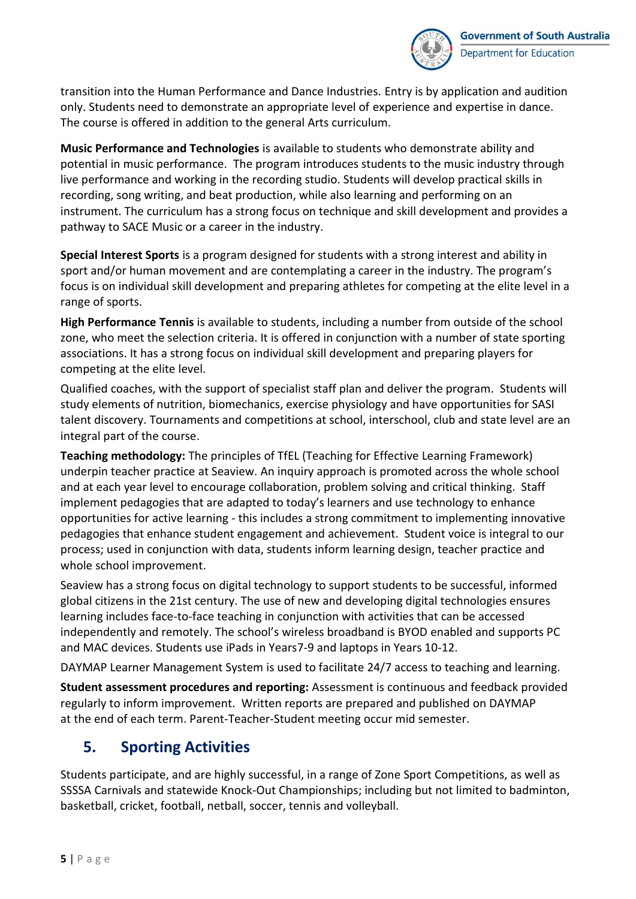

transition into the Human Performance and Dance Industries. Entry is by application and audition only. Students need to demonstrate an appropriate level of experience and expertise in dance. The course is offered in addition to the general Arts curriculum.

**Music Performance and Technologies** is available to students who demonstrate ability and potential in music performance. The program introduces students to the music industry through live performance and working in the recording studio. Students will develop practical skills in recording, song writing, and beat production, while also learning and performing on an instrument. The curriculum has a strong focus on technique and skill development and provides a pathway to SACE Music or a career in the industry.

**Special Interest Sports** is a program designed for students with a strong interest and ability in sport and/or human movement and are contemplating a career in the industry. The program's focus is on individual skill development and preparing athletes for competing at the elite level in a range of sports.

**High Performance Tennis** is available to students, including a number from outside of the school zone, who meet the selection criteria. It is offered in conjunction with a number of state sporting associations. It has a strong focus on individual skill development and preparing players for competing at the elite level.

Qualified coaches, with the support of specialist staff plan and deliver the program. Students will study elements of nutrition, biomechanics, exercise physiology and have opportunities for SASI talent discovery. Tournaments and competitions at school, interschool, club and state level are an integral part of the course.

**Teaching methodology:** The principles of TfEL (Teaching for Effective Learning Framework) underpin teacher practice at Seaview. An inquiry approach is promoted across the whole school and at each year level to encourage collaboration, problem solving and critical thinking. Staff implement pedagogies that are adapted to today's learners and use technology to enhance opportunities for active learning - this includes a strong commitment to implementing innovative pedagogies that enhance student engagement and achievement. Student voice is integral to our process; used in conjunction with data, students inform learning design, teacher practice and whole school improvement.

Seaview has a strong focus on digital technology to support students to be successful, informed global citizens in the 21st century. The use of new and developing digital technologies ensures learning includes face-to-face teaching in conjunction with activities that can be accessed independently and remotely. The school's wireless broadband is BYOD enabled and supports PC and MAC devices. Students use iPads in Years7-9 and laptops in Years 10-12.

DAYMAP Learner Management System is used to facilitate 24/7 access to teaching and learning.

**Student assessment procedures and reporting:** Assessment is continuous and feedback provided regularly to inform improvement. Written reports are prepared and published on DAYMAP at the end of each term. Parent-Teacher-Student meeting occur mid semester.

### **5. Sporting Activities**

Students participate, and are highly successful, in a range of Zone Sport Competitions, as well as SSSSA Carnivals and statewide Knock-Out Championships; including but not limited to badminton, basketball, cricket, football, netball, soccer, tennis and volleyball.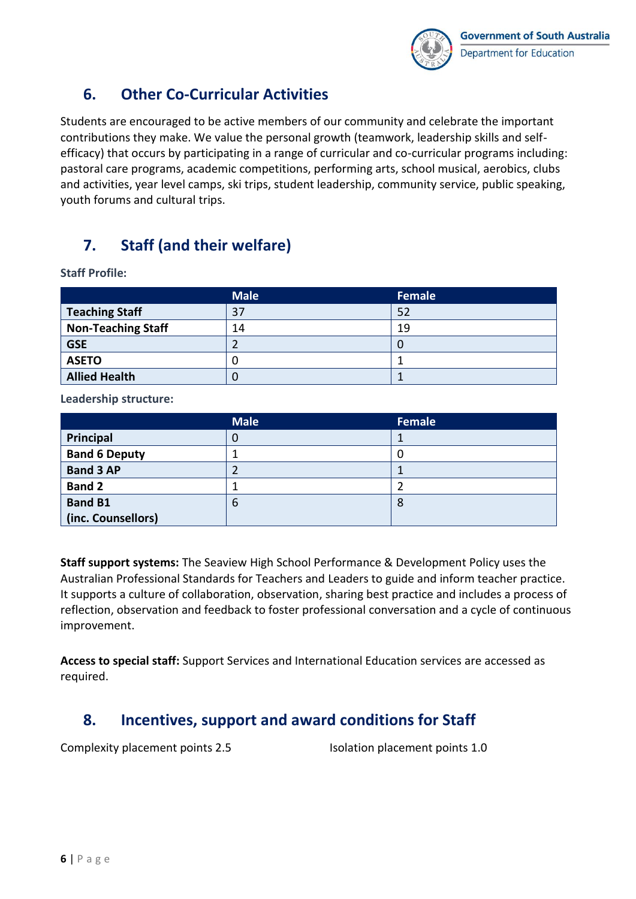

### **6. Other Co-Curricular Activities**

Students are encouraged to be active members of our community and celebrate the important contributions they make. We value the personal growth (teamwork, leadership skills and selfefficacy) that occurs by participating in a range of curricular and co-curricular programs including: pastoral care programs, academic competitions, performing arts, school musical, aerobics, clubs and activities, year level camps, ski trips, student leadership, community service, public speaking, youth forums and cultural trips.

### **7. Staff (and their welfare)**

**Staff Profile:**

|                           | <b>Male</b> | Female |
|---------------------------|-------------|--------|
| <b>Teaching Staff</b>     | 37          | 52     |
| <b>Non-Teaching Staff</b> | 14          | 19     |
| <b>GSE</b>                |             |        |
| <b>ASETO</b>              |             |        |
| <b>Allied Health</b>      |             |        |

**Leadership structure:**

|                      | <b>Male</b> | Female |
|----------------------|-------------|--------|
| Principal            | U           |        |
| <b>Band 6 Deputy</b> |             | υ.     |
| <b>Band 3 AP</b>     |             |        |
| <b>Band 2</b>        |             |        |
| <b>Band B1</b>       | 6           | 8      |
| (inc. Counsellors)   |             |        |

**Staff support systems:** The Seaview High School Performance & Development Policy uses the Australian Professional Standards for Teachers and Leaders to guide and inform teacher practice. It supports a culture of collaboration, observation, sharing best practice and includes a process of reflection, observation and feedback to foster professional conversation and a cycle of continuous improvement.

**Access to special staff:** Support Services and International Education services are accessed as required.

### **8. Incentives, support and award conditions for Staff**

Complexity placement points 2.5 Isolation placement points 1.0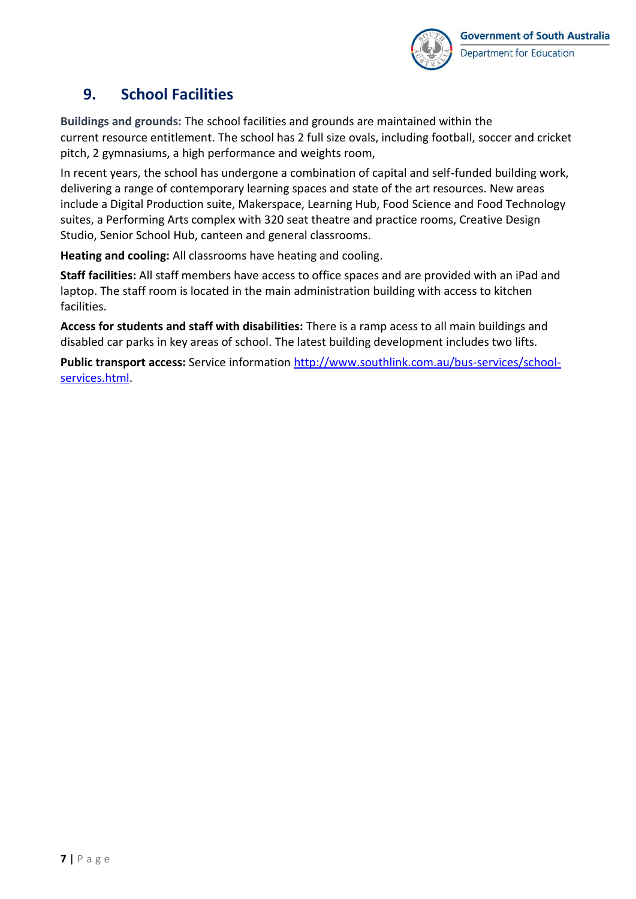![](_page_6_Picture_0.jpeg)

### **9. School Facilities**

**Buildings and grounds:** The school facilities and grounds are maintained within the current resource entitlement. The school has 2 full size ovals, including football, soccer and cricket pitch, 2 gymnasiums, a high performance and weights room,

In recent years, the school has undergone a combination of capital and self-funded building work, delivering a range of contemporary learning spaces and state of the art resources. New areas include a Digital Production suite, Makerspace, Learning Hub, Food Science and Food Technology suites, a Performing Arts complex with 320 seat theatre and practice rooms, Creative Design Studio, Senior School Hub, canteen and general classrooms.

**Heating and cooling:** All classrooms have heating and cooling.

**Staff facilities:** All staff members have access to office spaces and are provided with an iPad and laptop. The staff room is located in the main administration building with access to kitchen facilities.

**Access for students and staff with disabilities:** There is a ramp acess to all main buildings and disabled car parks in key areas of school. The latest building development includes two lifts.

**Public transport access:** Service information [http://www.southlink.com.au/bus-services/school](http://www.southlink.com.au/bus-services/school-services.html)[services.html.](http://www.southlink.com.au/bus-services/school-services.html)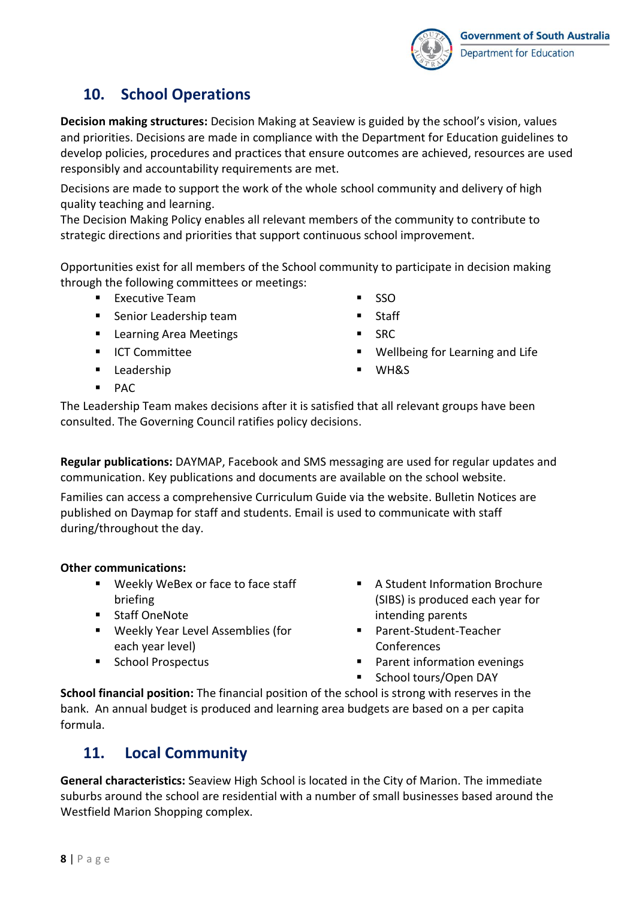![](_page_7_Picture_0.jpeg)

### **10. School Operations**

**Decision making structures:** Decision Making at Seaview is guided by the school's vision, values and priorities. Decisions are made in compliance with the Department for Education guidelines to develop policies, procedures and practices that ensure outcomes are achieved, resources are used responsibly and accountability requirements are met.

Decisions are made to support the work of the whole school community and delivery of high quality teaching and learning.

The Decision Making Policy enables all relevant members of the community to contribute to strategic directions and priorities that support continuous school improvement.

Opportunities exist for all members of the School community to participate in decision making through the following committees or meetings:

- Executive Team
- Senior Leadership team
- Learning Area Meetings
- ICT Committee
- Leadership
- SSO
- **Staff**
- SRC.
- Wellbeing for Learning and Life
- WH&S

▪ PAC

The Leadership Team makes decisions after it is satisfied that all relevant groups have been consulted. The Governing Council ratifies policy decisions.

**Regular publications:** DAYMAP, Facebook and SMS messaging are used for regular updates and communication. Key publications and documents are available on the school website.

Families can access a comprehensive Curriculum Guide via the website. Bulletin Notices are published on Daymap for staff and students. Email is used to communicate with staff during/throughout the day.

### **Other communications:**

- Weekly WeBex or face to face staff briefing
- Staff OneNote
- Weekly Year Level Assemblies (for each year level)
- School Prospectus
- A Student Information Brochure (SIBS) is produced each year for intending parents
- Parent-Student-Teacher Conferences
- Parent information evenings
- School tours/Open DAY

**School financial position:** The financial position of the school is strong with reserves in the bank. An annual budget is produced and learning area budgets are based on a per capita formula.

### **11. Local Community**

**General characteristics:** Seaview High School is located in the City of Marion. The immediate suburbs around the school are residential with a number of small businesses based around the Westfield Marion Shopping complex.